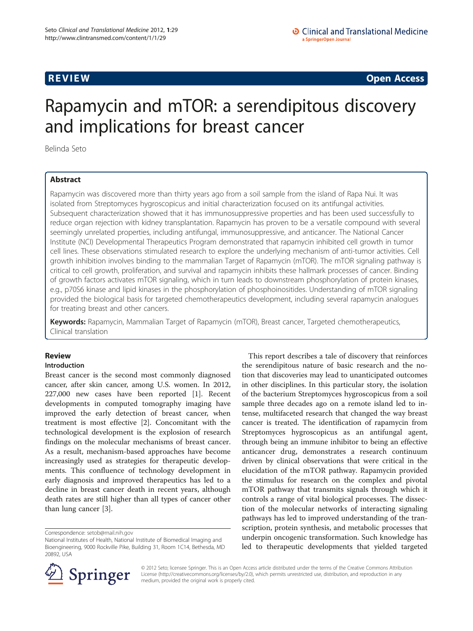# **REVIEW CONSTRUCTION CONSTRUCTION CONSTRUCTS**

# Rapamycin and mTOR: a serendipitous discovery and implications for breast cancer

Belinda Seto

## Abstract

Rapamycin was discovered more than thirty years ago from a soil sample from the island of Rapa Nui. It was isolated from Streptomyces hygroscopicus and initial characterization focused on its antifungal activities. Subsequent characterization showed that it has immunosuppressive properties and has been used successfully to reduce organ rejection with kidney transplantation. Rapamycin has proven to be a versatile compound with several seemingly unrelated properties, including antifungal, immunosuppressive, and anticancer. The National Cancer Institute (NCI) Developmental Therapeutics Program demonstrated that rapamycin inhibited cell growth in tumor cell lines. These observations stimulated research to explore the underlying mechanism of anti-tumor activities. Cell growth inhibition involves binding to the mammalian Target of Rapamycin (mTOR). The mTOR signaling pathway is critical to cell growth, proliferation, and survival and rapamycin inhibits these hallmark processes of cancer. Binding of growth factors activates mTOR signaling, which in turn leads to downstream phosphorylation of protein kinases, e.g., p70S6 kinase and lipid kinases in the phosphorylation of phosphoinositides. Understanding of mTOR signaling provided the biological basis for targeted chemotherapeutics development, including several rapamycin analogues for treating breast and other cancers.

Keywords: Rapamycin, Mammalian Target of Rapamycin (mTOR), Breast cancer, Targeted chemotherapeutics, Clinical translation

### Review

#### Introduction

Breast cancer is the second most commonly diagnosed cancer, after skin cancer, among U.S. women. In 2012, 227,000 new cases have been reported [\[1](#page-5-0)]. Recent developments in computed tomography imaging have improved the early detection of breast cancer, when treatment is most effective [[2](#page-5-0)]. Concomitant with the technological development is the explosion of research findings on the molecular mechanisms of breast cancer. As a result, mechanism-based approaches have become increasingly used as strategies for therapeutic developments. This confluence of technology development in early diagnosis and improved therapeutics has led to a decline in breast cancer death in recent years, although death rates are still higher than all types of cancer other than lung cancer [[3\]](#page-5-0).

This report describes a tale of discovery that reinforces the serendipitous nature of basic research and the notion that discoveries may lead to unanticipated outcomes in other disciplines. In this particular story, the isolation of the bacterium Streptomyces hygroscopicus from a soil sample three decades ago on a remote island led to intense, multifaceted research that changed the way breast cancer is treated. The identification of rapamycin from Streptomyces hygroscopicus as an antifungal agent, through being an immune inhibitor to being an effective anticancer drug, demonstrates a research continuum driven by clinical observations that were critical in the elucidation of the mTOR pathway. Rapamycin provided the stimulus for research on the complex and pivotal mTOR pathway that transmits signals through which it controls a range of vital biological processes. The dissection of the molecular networks of interacting signaling pathways has led to improved understanding of the transcription, protein synthesis, and metabolic processes that underpin oncogenic transformation. Such knowledge has led to therapeutic developments that yielded targeted



© 2012 Seto; licensee Springer. This is an Open Access article distributed under the terms of the Creative Commons Attribution License [\(http://creativecommons.org/licenses/by/2.0\)](http://creativecommons.org/licenses/by/2.0), which permits unrestricted use, distribution, and reproduction in any medium, provided the original work is properly cited.

Correspondence: [setob@mail.nih.gov](mailto:setob@mail.nih.gov)

National Institutes of Health, National Institute of Biomedical Imaging and Bioengineering, 9000 Rockville Pike, Building 31, Room 1C14, Bethesda, MD 20892, USA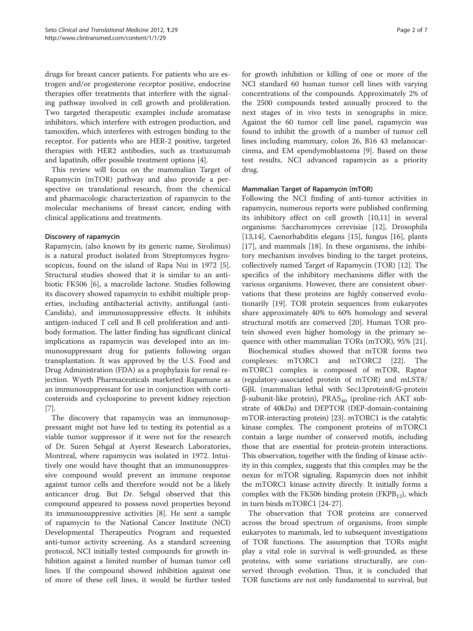drugs for breast cancer patients. For patients who are estrogen and/or progesterone receptor positive, endocrine therapies offer treatments that interfere with the signaling pathway involved in cell growth and proliferation. Two targeted therapeutic examples include aromatase inhibitors, which interfere with estrogen production, and tamoxifen, which interferes with estrogen binding to the receptor. For patients who are HER-2 positive, targeted therapies with HER2 antibodies, such as trastuzumab and lapatinib, offer possible treatment options [[4\]](#page-5-0).

This review will focus on the mammalian Target of Rapamycin (mTOR) pathway and also provide a perspective on translational research, from the chemical and pharmacologic characterization of rapamycin to the molecular mechanisms of breast cancer, ending with clinical applications and treatments.

#### Discovery of rapamycin

Rapamycin, (also known by its generic name, Sirolimus) is a natural product isolated from Streptomyces hygroscopicus, found on the island of Rapa Nui in 1972 [\[5](#page-5-0)]. Structural studies showed that it is similar to an antibiotic FK506 [[6\]](#page-5-0), a macrolide lactone. Studies following its discovery showed rapamycin to exhibit multiple properties, including antibacterial activity, antifungal (anti-Candida), and immunosuppressive effects. It inhibits antigen-induced T cell and B cell proliferation and antibody formation. The latter finding has significant clinical implications as rapamycin was developed into an immunosuppressant drug for patients following organ transplantation. It was approved by the U.S. Food and Drug Administration (FDA) as a prophylaxis for renal rejection. Wyeth Pharmaceuticals marketed Rapamune as an immunosuppressant for use in conjunction with corticosteroids and cyclosporine to prevent kidney rejection [[7\]](#page-5-0).

The discovery that rapamycin was an immunosuppressant might not have led to testing its potential as a viable tumor suppressor if it were not for the research of Dr. Suren Sehgal at Ayerst Research Laboratories, Montreal, where rapamycin was isolated in 1972. Intuitively one would have thought that an immunosuppressive compound would prevent an immune response against tumor cells and therefore would not be a likely anticancer drug. But Dr. Sehgal observed that this compound appeared to possess novel properties beyond its immunosuppressive activities [\[8](#page-5-0)]. He sent a sample of rapamycin to the National Cancer Institute (NCI) Developmental Therapeutics Program and requested anti-tumor activity screening. As a standard screening protocol, NCI initially tested compounds for growth inhibition against a limited number of human tumor cell lines. If the compound showed inhibition against one of more of these cell lines, it would be further tested

for growth inhibition or killing of one or more of the NCI standard 60 human tumor cell lines with varying concentrations of the compounds. Approximately 2% of the 2500 compounds tested annually proceed to the next stages of in vivo tests in xenographs in mice. Against the 60 tumor cell line panel, rapamycin was found to inhibit the growth of a number of tumor cell lines including mammary, colon 26, B16 43 melanocarcinma, and EM ependymoblastoma [[9\]](#page-5-0). Based on these test results, NCI advanced rapamycin as a priority drug.

#### Mammalian Target of Rapamycin (mTOR)

Following the NCI finding of anti-tumor activities in rapamycin, numerous reports were published confirming its inhibitory effect on cell growth [[10](#page-5-0),[11](#page-5-0)] in several organisms: Saccharomyces cerevisiae [\[12\]](#page-5-0), Drosophila [[13,14\]](#page-5-0), Caenorhabditis elegans [\[15](#page-5-0)], fungus [[16\]](#page-5-0), plants [[17\]](#page-5-0), and mammals [[18\]](#page-5-0). In these organisms, the inhibitory mechanism involves binding to the target proteins, collectively named Target of Rapamycin (TOR) [\[12](#page-5-0)]. The specifics of the inhibitory mechanisms differ with the various organisms. However, there are consistent observations that these proteins are highly conserved evolutionarily [\[19](#page-5-0)]. TOR protein sequences from eukaryotes share approximately 40% to 60% homology and several structural motifs are conserved [[20\]](#page-5-0). Human TOR protein showed even higher homology in the primary sequence with other mammalian TORs (mTOR), 95% [\[21\]](#page-5-0).

Biochemical studies showed that mTOR forms two complexes: mTORC1 and mTORC2 [\[22](#page-5-0)]. The mTORC1 complex is composed of mTOR, Raptor (regulatory-associated protein of mTOR) and mLST8/ GβL (mammalian lethal with Sec13protein8/G-protein  $β$ -subunit-like protein), PRAS<sub>40</sub> (proline-rich AKT substrate of 40kDa) and DEPTOR (DEP-domain-containing mTOR-interacting protein) [\[23\]](#page-5-0). mTORC1 is the catalytic kinase complex. The component proteins of mTORC1 contain a large number of conserved motifs, including those that are essential for protein-protein interactions. This observation, together with the finding of kinase activity in this complex, suggests that this complex may be the nexus for mTOR signaling. Rapamycin does not inhibit the mTORC1 kinase activity directly. It initially forms a complex with the FK506 binding protein  $(FKPB<sub>12</sub>)$ , which in turn binds mTORC1 [\[24-27](#page-5-0)].

The observation that TOR proteins are conserved across the broad spectrum of organisms, from simple eukaryotes to mammals, led to subsequent investigations of TOR functions. The assumption that TORs might play a vital role in survival is well-grounded, as these proteins, with some variations structurally, are conserved through evolution. Thus, it is concluded that TOR functions are not only fundamental to survival, but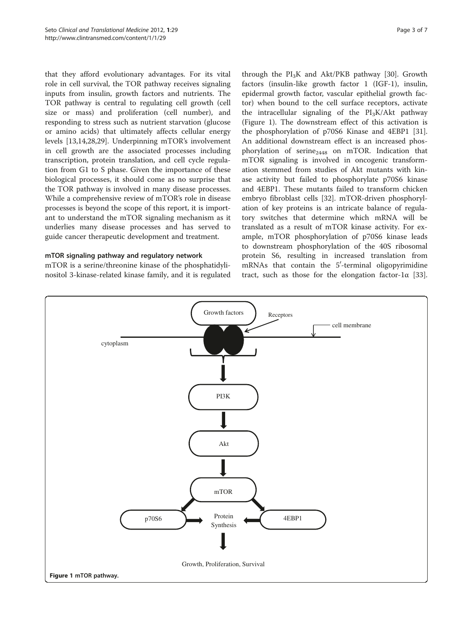that they afford evolutionary advantages. For its vital role in cell survival, the TOR pathway receives signaling inputs from insulin, growth factors and nutrients. The TOR pathway is central to regulating cell growth (cell size or mass) and proliferation (cell number), and responding to stress such as nutrient starvation (glucose or amino acids) that ultimately affects cellular energy levels [\[13,14,28,29\]](#page-5-0). Underpinning mTOR's involvement in cell growth are the associated processes including transcription, protein translation, and cell cycle regulation from G1 to S phase. Given the importance of these biological processes, it should come as no surprise that the TOR pathway is involved in many disease processes. While a comprehensive review of mTOR's role in disease processes is beyond the scope of this report, it is important to understand the mTOR signaling mechanism as it underlies many disease processes and has served to guide cancer therapeutic development and treatment.

#### mTOR signaling pathway and regulatory network

mTOR is a serine/threonine kinase of the phosphatidylinositol 3-kinase-related kinase family, and it is regulated

through the  $PI_3K$  and Akt/PKB pathway [\[30\]](#page-5-0). Growth factors (insulin-like growth factor 1 (IGF-1), insulin, epidermal growth factor, vascular epithelial growth factor) when bound to the cell surface receptors, activate the intracellular signaling of the  $PI_3K/Akt$  pathway (Figure 1). The downstream effect of this activation is the phosphorylation of p70S6 Kinase and 4EBP1 [\[31](#page-5-0)]. An additional downstream effect is an increased phosphorylation of serine<sub>2448</sub> on mTOR. Indication that mTOR signaling is involved in oncogenic transformation stemmed from studies of Akt mutants with kinase activity but failed to phosphorylate p70S6 kinase and 4EBP1. These mutants failed to transform chicken embryo fibroblast cells [[32\]](#page-5-0). mTOR-driven phosphorylation of key proteins is an intricate balance of regulatory switches that determine which mRNA will be translated as a result of mTOR kinase activity. For example, mTOR phosphorylation of p70S6 kinase leads to downstream phosphorylation of the 40S ribosomal protein S6, resulting in increased translation from mRNAs that contain the 5'-terminal oligopyrimidine tract, such as those for the elongation factor-1 $\alpha$  [\[33](#page-5-0)].

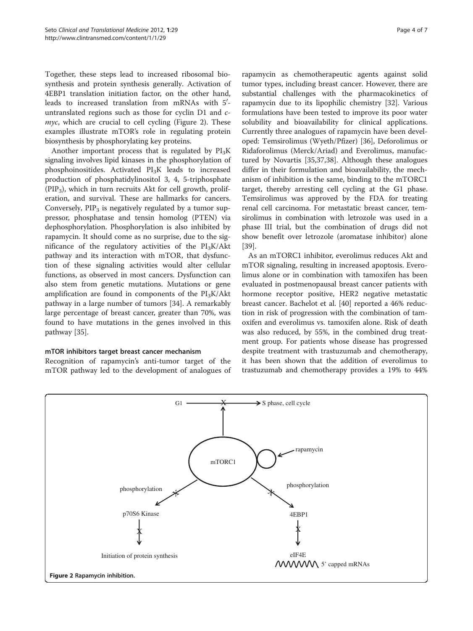Together, these steps lead to increased ribosomal biosynthesis and protein synthesis generally. Activation of 4EBP1 translation initiation factor, on the other hand, leads to increased translation from  $mRNAs$  with  $5^{\prime}$ untranslated regions such as those for cyclin D1 and c $myc$ , which are crucial to cell cycling (Figure 2). These examples illustrate mTOR's role in regulating protein biosynthesis by phosphorylating key proteins.

Another important process that is regulated by  $PI_3K$ signaling involves lipid kinases in the phosphorylation of phosphoinositides. Activated PI3K leads to increased production of phosphatidylinositol 3, 4, 5-triphosphate  $(PIP_3)$ , which in turn recruits Akt for cell growth, proliferation, and survival. These are hallmarks for cancers. Conversely,  $PIP_3$  is negatively regulated by a tumor suppressor, phosphatase and tensin homolog (PTEN) via dephosphorylation. Phosphorylation is also inhibited by rapamycin. It should come as no surprise, due to the significance of the regulatory activities of the PI3K/Akt pathway and its interaction with mTOR, that dysfunction of these signaling activities would alter cellular functions, as observed in most cancers. Dysfunction can also stem from genetic mutations. Mutations or gene amplification are found in components of the  $PI_3K/Akt$ pathway in a large number of tumors [[34](#page-5-0)]. A remarkably large percentage of breast cancer, greater than 70%, was found to have mutations in the genes involved in this pathway [[35](#page-5-0)].

### mTOR inhibitors target breast cancer mechanism

Recognition of rapamycin's anti-tumor target of the mTOR pathway led to the development of analogues of

rapamycin as chemotherapeutic agents against solid tumor types, including breast cancer. However, there are substantial challenges with the pharmacokinetics of rapamycin due to its lipophilic chemistry [[32\]](#page-5-0). Various formulations have been tested to improve its poor water solubility and bioavailability for clinical applications. Currently three analogues of rapamycin have been developed: Temsirolimus (Wyeth/Pfizer) [\[36\]](#page-5-0), Deforolimus or Ridaforolimus (Merck/Ariad) and Everolimus, manufactured by Novartis [[35,37,38\]](#page-5-0). Although these analogues differ in their formulation and bioavailability, the mechanism of inhibition is the same, binding to the mTORC1 target, thereby arresting cell cycling at the G1 phase. Temsirolimus was approved by the FDA for treating renal cell carcinoma. For metastatic breast cancer, temsirolimus in combination with letrozole was used in a phase III trial, but the combination of drugs did not show benefit over letrozole (aromatase inhibitor) alone [[39\]](#page-5-0).

As an mTORC1 inhibitor, everolimus reduces Akt and mTOR signaling, resulting in increased apoptosis. Everolimus alone or in combination with tamoxifen has been evaluated in postmenopausal breast cancer patients with hormone receptor positive, HER2 negative metastatic breast cancer. Bachelot et al. [[40\]](#page-6-0) reported a 46% reduction in risk of progression with the combination of tamoxifen and everolimus vs. tamoxifen alone. Risk of death was also reduced, by 55%, in the combined drug treatment group. For patients whose disease has progressed despite treatment with trastuzumab and chemotherapy, it has been shown that the addition of everolimus to trastuzumab and chemotherapy provides a 19% to 44%

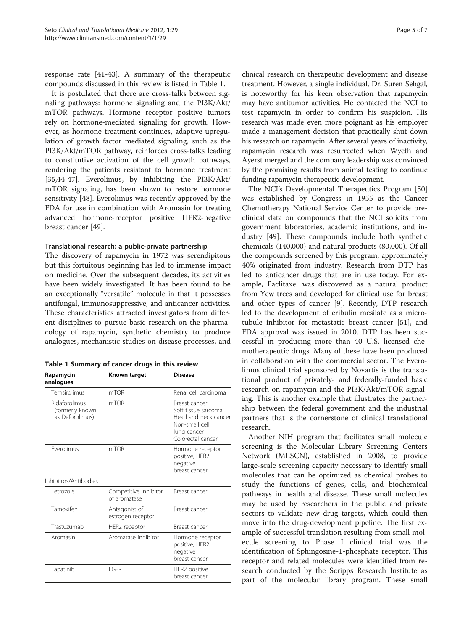response rate [\[41](#page-6-0)-[43\]](#page-6-0). A summary of the therapeutic compounds discussed in this review is listed in Table 1.

It is postulated that there are cross-talks between signaling pathways: hormone signaling and the PI3K/Akt/ mTOR pathways. Hormone receptor positive tumors rely on hormone-mediated signaling for growth. However, as hormone treatment continues, adaptive upregulation of growth factor mediated signaling, such as the PI3K/Akt/mTOR pathway, reinforces cross-talks leading to constitutive activation of the cell growth pathways, rendering the patients resistant to hormone treatment [[35,](#page-5-0)[44-47\]](#page-6-0). Everolimus, by inhibiting the PI3K/Akt/ mTOR signaling, has been shown to restore hormone sensitivity [\[48](#page-6-0)]. Everolimus was recently approved by the FDA for use in combination with Aromasin for treating advanced hormone-receptor positive HER2-negative breast cancer [\[49\]](#page-6-0).

#### Translational research: a public-private partnership

The discovery of rapamycin in 1972 was serendipitous but this fortuitous beginning has led to immense impact on medicine. Over the subsequent decades, its activities have been widely investigated. It has been found to be an exceptionally "versatile" molecule in that it possesses antifungal, immunosuppressive, and anticancer activities. These characteristics attracted investigators from different disciplines to pursue basic research on the pharmacology of rapamycin, synthetic chemistry to produce analogues, mechanistic studies on disease processes, and

|  |  | Table 1 Summary of cancer drugs in this review |  |  |  |
|--|--|------------------------------------------------|--|--|--|
|--|--|------------------------------------------------|--|--|--|

| Rapamycin<br>analogues                              | Known target                          | <b>Disease</b>                                                                                                     |  |
|-----------------------------------------------------|---------------------------------------|--------------------------------------------------------------------------------------------------------------------|--|
| Temsirolimus                                        | mTOR                                  | Renal cell carcinoma                                                                                               |  |
| Ridaforolimus<br>(formerly known<br>as Deforolimus) | mTOR                                  | Breast cancer<br>Soft tissue sarcoma<br>Head and neck cancer<br>Non-small cell<br>lung cancer<br>Colorectal cancer |  |
| Fverolimus                                          | mTOR                                  | Hormone receptor<br>positive, HER2<br>negative<br>breast cancer                                                    |  |
| Inhibitors/Antibodies                               |                                       |                                                                                                                    |  |
| I etrozole                                          | Competitive inhibitor<br>of aromatase | Breast cancer                                                                                                      |  |
| Tamoxifen                                           | Antagonist of<br>estrogen receptor    | Breast cancer                                                                                                      |  |
| Trastuzumab                                         | HER2 receptor                         | Breast cancer                                                                                                      |  |
| Aromasin                                            | Aromatase inhibitor                   | Hormone receptor<br>positive, HER2<br>negative<br>breast cancer                                                    |  |
| Lapatinib                                           | <b>FGFR</b>                           | HER2 positive<br>breast cancer                                                                                     |  |

clinical research on therapeutic development and disease treatment. However, a single individual, Dr. Suren Sehgal, is noteworthy for his keen observation that rapamycin may have antitumor activities. He contacted the NCI to test rapamycin in order to confirm his suspicion. His research was made even more poignant as his employer made a management decision that practically shut down his research on rapamycin. After several years of inactivity, rapamycin research was resurrected when Wyeth and Ayerst merged and the company leadership was convinced by the promising results from animal testing to continue funding rapamycin therapeutic development.

The NCI's Developmental Therapeutics Program [[50](#page-6-0)] was established by Congress in 1955 as the Cancer Chemotherapy National Service Center to provide preclinical data on compounds that the NCI solicits from government laboratories, academic institutions, and industry [[49\]](#page-6-0). These compounds include both synthetic chemicals (140,000) and natural products (80,000). Of all the compounds screened by this program, approximately 40% originated from industry. Research from DTP has led to anticancer drugs that are in use today. For example, Paclitaxel was discovered as a natural product from Yew trees and developed for clinical use for breast and other types of cancer [[9\]](#page-5-0). Recently, DTP research led to the development of eribulin mesilate as a microtubule inhibitor for metastatic breast cancer [\[51](#page-6-0)], and FDA approval was issued in 2010. DTP has been successful in producing more than 40 U.S. licensed chemotherapeutic drugs. Many of these have been produced in collaboration with the commercial sector. The Everolimus clinical trial sponsored by Novartis is the translational product of privately- and federally-funded basic research on rapamycin and the PI3K/Akt/mTOR signaling. This is another example that illustrates the partnership between the federal government and the industrial partners that is the cornerstone of clinical translational research.

Another NIH program that facilitates small molecule screening is the Molecular Library Screening Centers Network (MLSCN), established in 2008, to provide large-scale screening capacity necessary to identify small molecules that can be optimized as chemical probes to study the functions of genes, cells, and biochemical pathways in health and disease. These small molecules may be used by researchers in the public and private sectors to validate new drug targets, which could then move into the drug-development pipeline. The first example of successful translation resulting from small molecule screening to Phase I clinical trial was the identification of Sphingosine-1-phosphate receptor. This receptor and related molecules were identified from research conducted by the Scripps Research Institute as part of the molecular library program. These small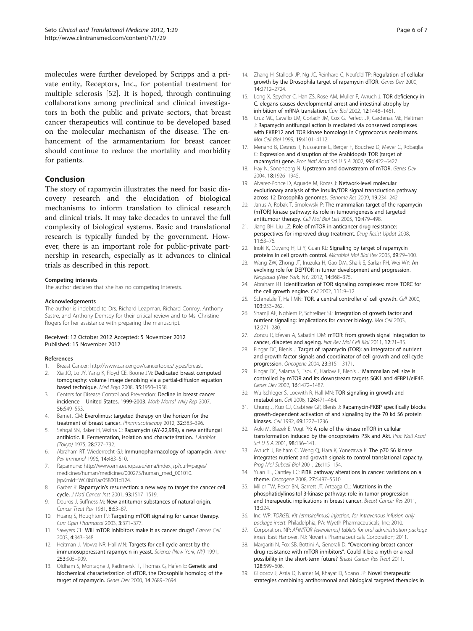<span id="page-5-0"></span>molecules were further developed by Scripps and a private entity, Receptors, Inc., for potential treatment for multiple sclerosis [[52](#page-6-0)]. It is hoped, through continuing collaborations among preclinical and clinical investigators in both the public and private sectors, that breast cancer therapeutics will continue to be developed based on the molecular mechanism of the disease. The enhancement of the armamentarium for breast cancer should continue to reduce the mortality and morbidity for patients.

#### Conclusion

The story of rapamycin illustrates the need for basic discovery research and the elucidation of biological mechanisms to inform translation to clinical research and clinical trials. It may take decades to unravel the full complexity of biological systems. Basic and translational research is typically funded by the government. However, there is an important role for public-private partnership in research, especially as it advances to clinical trials as described in this report.

#### Competing interests

The author declares that she has no competing interests.

#### Acknowledgements

The author is indebted to Drs. Richard Leapman, Richard Conroy, Anthony Sastre, and Anthony Demsey for their critical review and to Ms. Christine Rogers for her assistance with preparing the manuscript.

#### Received: 12 October 2012 Accepted: 5 November 2012 Published: 15 November 2012

#### References

- 1. Breast Cancer:<http://www.cancer.gov/cancertopics/types/breast>.
- 2. Xia JQ, Lo JY, Yang K, Floyd CE, Boone JM: Dedicated breast computed tomography: volume image denoising via a partial-diffusion equation based technique. Med Phys 2008, 35:1950–1958.
- 3. Centers for Disease Control and Prevention: Decline in breast cancer incidence – United States, 1999-2003. Morb Mortal Wkly Rep 2007, 56:549–553.
- 4. Barnett CM: Everolimus: targeted therapy on the horizon for the treatment of breast cancer. Pharmacotherapy 2012, 32:383–396.
- 5. Sehgal SN, Baker H, Vézina C: Rapamycin (AY-22,989), a new antifungal antibiotic. II. Fermentation, isolation and characterization. J Antibiot (Tokyo) 1975, 28:727–732.
- 6. Abraham RT, Wiederrecht GJ: Immunopharmacology of rapamycin. Annu Rev Immunol 1996, 14:483–510.
- 7. Rapamune: [http://www.ema.europa.eu/ema/index.jsp?curl=pages/](http://www.ema.europa.eu/ema/index.jsp?curl=pages/medicines/human/medicines/000273/human_med_001010.jsp&mid=WC0b01ac058001d124) [medicines/human/medicines/000273/human\\_med\\_001010.](http://www.ema.europa.eu/ema/index.jsp?curl=pages/medicines/human/medicines/000273/human_med_001010.jsp&mid=WC0b01ac058001d124) [jsp&mid=WC0b01ac058001d124.](http://www.ema.europa.eu/ema/index.jsp?curl=pages/medicines/human/medicines/000273/human_med_001010.jsp&mid=WC0b01ac058001d124)
- 8. Garber K: Rapamycin's resurrection: a new way to target the cancer cell cycle. J Natl Cancer Inst 2001, 93:1517–1519.
- 9. Douros J, Suffness M: New antitumor substances of natural origin. Cancer Treat Rev 1981, 8:63–87.
- 10. Huang S, Houghton PJ: Targeting mTOR signaling for cancer therapy. Curr Opin Pharmacol 2003, 3:371–377.
- 11. Sawyers CL: Will mTOR inhibitors make it as cancer drugs? Cancer Cell 2003, 4:343–348.
- 12. Heitman J, Movva NR, Hall MN: Targets for cell cycle arrest by the immunosuppressant rapamycin in yeast. Science (New York, NY) 1991, 253:905–909.
- 13. Oldham S, Montagne J, Radimerski T, Thomas G, Hafen E: Genetic and biochemical characterization of dTOR, the Drosophila homolog of the target of rapamycin. Genes Dev 2000, 14:2689–2694.
- 14. Zhang H, Stallock JP, Ng JC, Reinhard C, Neufeld TP: Regulation of cellular growth by the Drosophila target of rapamycin dTOR. Genes Dev 2000, 14:2712–2724.
- 15. Long X, Spycher C, Han ZS, Rose AM, Muller F, Avruch J: TOR deficiency in C. elegans causes developmental arrest and intestinal atrophy by inhibition of mRNA translation. Curr Biol 2002, 12:1448–1461.
- 16. Cruz MC, Cavallo LM, Gorlach JM, Cox G, Perfect JR, Cardenas ME, Heitman J: Rapamycin antifungal action is mediated via conserved complexes with FKBP12 and TOR kinase homologs in Cryptococcus neoformans. Mol Cell Biol 1999, 19:4101–4112.
- 17. Menand B, Desnos T, Nussaume L, Berger F, Bouchez D, Meyer C, Robaglia C: Expression and disruption of the Arabidopsis TOR (target of rapamycin) gene. Proc Natl Acad Sci U S A 2002, 99:6422–6427.
- 18. Hay N, Sonenberg N: Upstream and downstream of mTOR. Genes Dev 2004, 18:1926–1945.
- 19. Alvarez-Ponce D, Aguade M, Rozas J: Network-level molecular evolutionary analysis of the insulin/TOR signal transduction pathway across 12 Drosophila genomes. Genome Res 2009, 19:234–242.
- 20. Janus A, Robak T, Smolewski P: The mammalian target of the rapamycin (mTOR) kinase pathway: its role in tumourigenesis and targeted antitumour therapy. Cell Mol Biol Lett 2005, 10:479–498.
- 21. Jiang BH, Liu LZ: Role of mTOR in anticancer drug resistance: perspectives for improved drug treatment. Drug Resist Updat 2008, 11:63–76.
- 22. Inoki K, Ouyang H, Li Y, Guan KL: Signaling by target of rapamycin proteins in cell growth control. Microbiol Mol Biol Rev 2005, 69:79–100.
- 23. Wang ZW, Zhong JT, Inuzuka H, Gao DM, Shaik S, Sarkar FH, Wei WY: An evolving role for DEPTOR in tumor development and progression. Neoplasia (New York, NY) 2012, 14:368–375.
- 24. Abraham RT: Identification of TOR signaling complexes: more TORC for the cell growth engine. Cell 2002, 111:9-12.
- 25. Schmelzle T, Hall MN: TOR, a central controller of cell growth. Cell 2000, 103:253–262.
- 26. Shamji AF, Nghiem P, Schreiber SL: Integration of growth factor and nutrient signaling: implications for cancer biology. Mol Cell 2003, 12:271–280.
- 27. Zoncu R, Efeyan A, Sabatini DM: mTOR: from growth signal integration to cancer, diabetes and ageing. Nat Rev Mol Cell Biol 2011, 12:21-35.
- 28. Fingar DC, Blenis J: Target of rapamycin (TOR): an integrator of nutrient and growth factor signals and coordinator of cell growth and cell cycle progression. Oncogene 2004, 23:3151–3171.
- 29. Fingar DC, Salama S, Tsou C, Harlow E, Blenis J: Mammalian cell size is controlled by mTOR and its downstream targets S6K1 and 4EBP1/eIF4E. Genes Dev 2002, 16:1472–1487.
- 30. Wullschleger S, Loewith R, Hall MN: TOR signaling in growth and metabolism. Cell 2006, 124:471–484.
- 31. Chung J, Kuo CJ, Crabtree GR, Blenis J: Rapamycin-FKBP specifically blocks growth-dependent activation of and signaling by the 70 kd S6 protein kinases. Cell 1992, 69:1227–1236.
- 32. Aoki M, Blazek E, Vogt PK: A role of the kinase mTOR in cellular transformation induced by the oncoproteins P3k and Akt. Proc Natl Acad Sci U S A 2001, 98:136–141.
- 33. Avruch J, Belham C, Weng Q, Hara K, Yonezawa K: The p70 S6 kinase integrates nutrient and growth signals to control translational capacity. Prog Mol Subcell Biol 2001, 26:115–154.
- 34. Yuan TL, Cantley LC: PI3K pathway alterations in cancer: variations on a theme. Oncogene 2008, 27:5497–5510.
- 35. Miller TW, Rexer BN, Garrett JT, Arteaga CL: Mutations in the phosphatidylinositol 3-kinase pathway: role in tumor progression and therapeutic implications in breast cancer. Breast Cancer Res 2011, 13:224.
- 36. Inc. WP: TORISEL Kit (etmsirolimus) injection, for intravenous infusion only package insert. Philadelphia, PA: Wyeth Pharmaceuticals, Inc; 2010.
- 37. Corporation. NP: AFINITOR (everolimus) tablets for oral administration package insert. East Hanover, NJ: Novartis Pharmaceuticals Corporation; 2011.
- 38. Margariti N, Fox SB, Bottini A, Generali D: "Overcoming breast cancer drug resistance with mTOR inhibitors". Could it be a myth or a real possibility in the short-term future? Breast Cancer Res Treat 2011, 128:599–606.
- 39. Gligorov J, Azria D, Namer M, Khayat D, Spano JP: Novel therapeutic strategies combining antihormonal and biological targeted therapies in